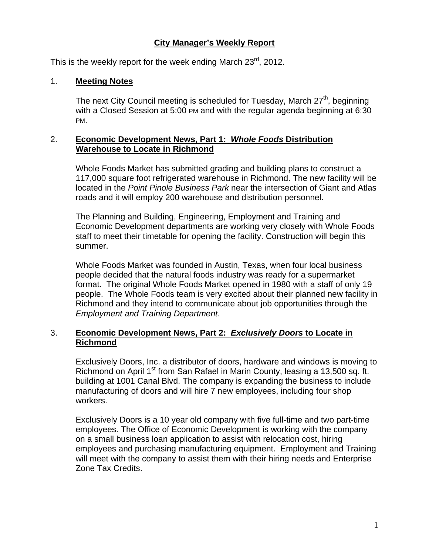# **City Manager's Weekly Report**

This is the weekly report for the week ending March 23<sup>rd</sup>, 2012.

### 1. **Meeting Notes**

The next City Council meeting is scheduled for Tuesday, March  $27<sup>th</sup>$ , beginning with a Closed Session at 5:00 PM and with the regular agenda beginning at 6:30 PM.

#### 2. **Economic Development News, Part 1:** *Whole Foods* **Distribution Warehouse to Locate in Richmond**

Whole Foods Market has submitted grading and building plans to construct a 117,000 square foot refrigerated warehouse in Richmond. The new facility will be located in the *Point Pinole Business Park* near the intersection of Giant and Atlas roads and it will employ 200 warehouse and distribution personnel.

The Planning and Building, Engineering, Employment and Training and Economic Development departments are working very closely with Whole Foods staff to meet their timetable for opening the facility. Construction will begin this summer.

Whole Foods Market was founded in Austin, Texas, when four local business people decided that the natural foods industry was ready for a supermarket format. The original Whole Foods Market opened in 1980 with a staff of only 19 people. The Whole Foods team is very excited about their planned new facility in Richmond and they intend to communicate about job opportunities through the *Employment and Training Department*.

### 3. **Economic Development News, Part 2:** *Exclusively Doors* **to Locate in Richmond**

Exclusively Doors, Inc. a distributor of doors, hardware and windows is moving to Richmond on April 1<sup>st</sup> from San Rafael in Marin County, leasing a 13,500 sq. ft. building at 1001 Canal Blvd. The company is expanding the business to include manufacturing of doors and will hire 7 new employees, including four shop workers.

Exclusively Doors is a 10 year old company with five full-time and two part-time employees. The Office of Economic Development is working with the company on a small business loan application to assist with relocation cost, hiring employees and purchasing manufacturing equipment. Employment and Training will meet with the company to assist them with their hiring needs and Enterprise Zone Tax Credits.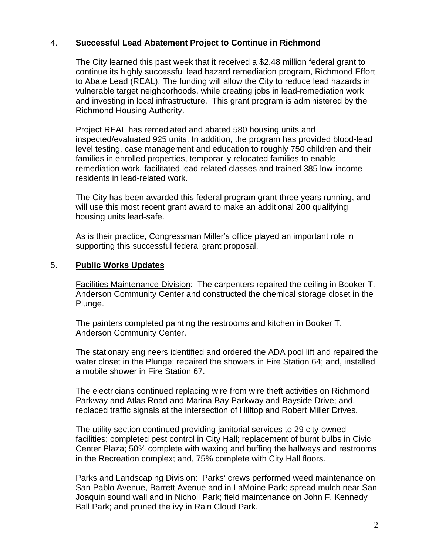## 4. **Successful Lead Abatement Project to Continue in Richmond**

The City learned this past week that it received a \$2.48 million federal grant to continue its highly successful lead hazard remediation program, Richmond Effort to Abate Lead (REAL). The funding will allow the City to reduce lead hazards in vulnerable target neighborhoods, while creating jobs in lead-remediation work and investing in local infrastructure. This grant program is administered by the Richmond Housing Authority.

Project REAL has remediated and abated 580 housing units and inspected/evaluated 925 units. In addition, the program has provided blood-lead level testing, case management and education to roughly 750 children and their families in enrolled properties, temporarily relocated families to enable remediation work, facilitated lead-related classes and trained 385 low-income residents in lead-related work.

The City has been awarded this federal program grant three years running, and will use this most recent grant award to make an additional 200 qualifying housing units lead-safe.

As is their practice, Congressman Miller's office played an important role in supporting this successful federal grant proposal.

### 5. **Public Works Updates**

Facilities Maintenance Division: The carpenters repaired the ceiling in Booker T. Anderson Community Center and constructed the chemical storage closet in the Plunge.

The painters completed painting the restrooms and kitchen in Booker T. Anderson Community Center.

The stationary engineers identified and ordered the ADA pool lift and repaired the water closet in the Plunge; repaired the showers in Fire Station 64; and, installed a mobile shower in Fire Station 67.

The electricians continued replacing wire from wire theft activities on Richmond Parkway and Atlas Road and Marina Bay Parkway and Bayside Drive; and, replaced traffic signals at the intersection of Hilltop and Robert Miller Drives.

The utility section continued providing janitorial services to 29 city-owned facilities; completed pest control in City Hall; replacement of burnt bulbs in Civic Center Plaza; 50% complete with waxing and buffing the hallways and restrooms in the Recreation complex; and, 75% complete with City Hall floors.

Parks and Landscaping Division: Parks' crews performed weed maintenance on San Pablo Avenue, Barrett Avenue and in LaMoine Park; spread mulch near San Joaquin sound wall and in Nicholl Park; field maintenance on John F. Kennedy Ball Park; and pruned the ivy in Rain Cloud Park.